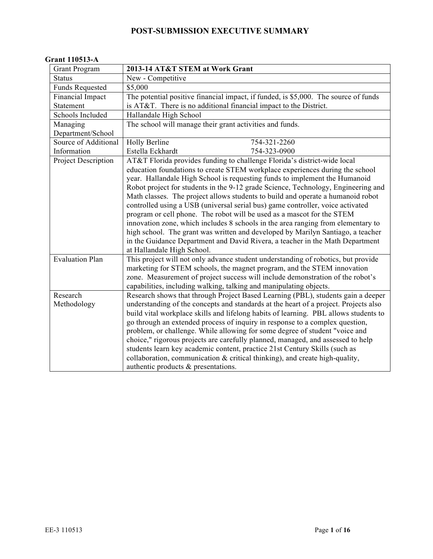#### **Grant 110513-A**

| <b>Grant Program</b>   | 2013-14 AT&T STEM at Work Grant                                                                                                                            |
|------------------------|------------------------------------------------------------------------------------------------------------------------------------------------------------|
| <b>Status</b>          | New - Competitive                                                                                                                                          |
| <b>Funds Requested</b> | \$5,000                                                                                                                                                    |
| Financial Impact       | The potential positive financial impact, if funded, is \$5,000. The source of funds                                                                        |
| Statement              | is AT&T. There is no additional financial impact to the District.                                                                                          |
| Schools Included       | Hallandale High School                                                                                                                                     |
| Managing               | The school will manage their grant activities and funds.                                                                                                   |
| Department/School      |                                                                                                                                                            |
| Source of Additional   | Holly Berline<br>754-321-2260                                                                                                                              |
| Information            | Estella Eckhardt<br>754-323-0900                                                                                                                           |
| Project Description    | AT&T Florida provides funding to challenge Florida's district-wide local                                                                                   |
|                        | education foundations to create STEM workplace experiences during the school<br>year. Hallandale High School is requesting funds to implement the Humanoid |
|                        | Robot project for students in the 9-12 grade Science, Technology, Engineering and                                                                          |
|                        | Math classes. The project allows students to build and operate a humanoid robot                                                                            |
|                        | controlled using a USB (universal serial bus) game controller, voice activated                                                                             |
|                        | program or cell phone. The robot will be used as a mascot for the STEM                                                                                     |
|                        | innovation zone, which includes 8 schools in the area ranging from elementary to                                                                           |
|                        | high school. The grant was written and developed by Marilyn Santiago, a teacher                                                                            |
|                        | in the Guidance Department and David Rivera, a teacher in the Math Department                                                                              |
|                        | at Hallandale High School.                                                                                                                                 |
| <b>Evaluation Plan</b> | This project will not only advance student understanding of robotics, but provide                                                                          |
|                        | marketing for STEM schools, the magnet program, and the STEM innovation                                                                                    |
|                        | zone. Measurement of project success will include demonstration of the robot's                                                                             |
|                        | capabilities, including walking, talking and manipulating objects.                                                                                         |
| Research               | Research shows that through Project Based Learning (PBL), students gain a deeper                                                                           |
| Methodology            | understanding of the concepts and standards at the heart of a project. Projects also                                                                       |
|                        | build vital workplace skills and lifelong habits of learning. PBL allows students to                                                                       |
|                        | go through an extended process of inquiry in response to a complex question,                                                                               |
|                        | problem, or challenge. While allowing for some degree of student "voice and                                                                                |
|                        | choice," rigorous projects are carefully planned, managed, and assessed to help                                                                            |
|                        | students learn key academic content, practice 21st Century Skills (such as                                                                                 |
|                        | collaboration, communication & critical thinking), and create high-quality,                                                                                |
|                        | authentic products & presentations.                                                                                                                        |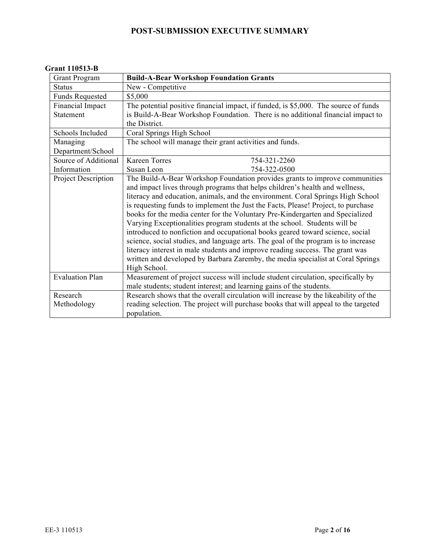#### **Grant 110513-B**

| <b>Grant Program</b>   | <b>Build-A-Bear Workshop Foundation Grants</b>                                      |
|------------------------|-------------------------------------------------------------------------------------|
| <b>Status</b>          | New - Competitive                                                                   |
| <b>Funds Requested</b> | \$5,000                                                                             |
| Financial Impact       | The potential positive financial impact, if funded, is \$5,000. The source of funds |
| Statement              | is Build-A-Bear Workshop Foundation. There is no additional financial impact to     |
|                        | the District.                                                                       |
| Schools Included       | Coral Springs High School                                                           |
| Managing               | The school will manage their grant activities and funds.                            |
| Department/School      |                                                                                     |
| Source of Additional   | <b>Kareen Torres</b><br>754-321-2260                                                |
| Information            | Susan Leon<br>754-322-0500                                                          |
| Project Description    | The Build-A-Bear Workshop Foundation provides grants to improve communities         |
|                        | and impact lives through programs that helps children's health and wellness,        |
|                        | literacy and education, animals, and the environment. Coral Springs High School     |
|                        | is requesting funds to implement the Just the Facts, Please! Project, to purchase   |
|                        | books for the media center for the Voluntary Pre-Kindergarten and Specialized       |
|                        | Varying Exceptionalities program students at the school. Students will be           |
|                        | introduced to nonfiction and occupational books geared toward science, social       |
|                        | science, social studies, and language arts. The goal of the program is to increase  |
|                        | literacy interest in male students and improve reading success. The grant was       |
|                        | written and developed by Barbara Zaremby, the media specialist at Coral Springs     |
|                        | High School.                                                                        |
| <b>Evaluation Plan</b> | Measurement of project success will include student circulation, specifically by    |
|                        | male students; student interest; and learning gains of the students.                |
| Research               | Research shows that the overall circulation will increase by the likeability of the |
| Methodology            | reading selection. The project will purchase books that will appeal to the targeted |
|                        | population.                                                                         |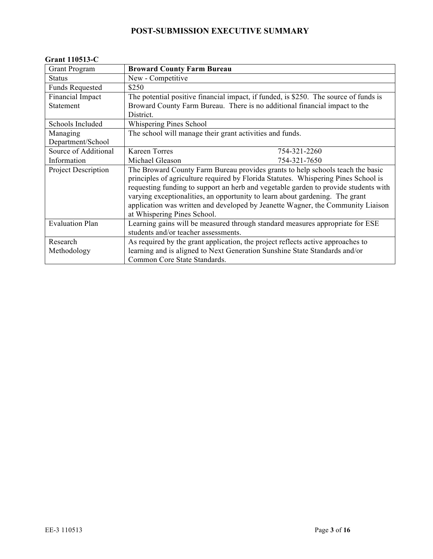#### **Grant 110513-C**

| <b>Grant Program</b>       | <b>Broward County Farm Bureau</b>                                                    |
|----------------------------|--------------------------------------------------------------------------------------|
| <b>Status</b>              | New - Competitive                                                                    |
| <b>Funds Requested</b>     | \$250                                                                                |
| Financial Impact           | The potential positive financial impact, if funded, is \$250. The source of funds is |
| Statement                  | Broward County Farm Bureau. There is no additional financial impact to the           |
|                            | District.                                                                            |
| Schools Included           | Whispering Pines School                                                              |
| Managing                   | The school will manage their grant activities and funds.                             |
| Department/School          |                                                                                      |
| Source of Additional       | <b>Kareen Torres</b><br>754-321-2260                                                 |
| Information                | Michael Gleason<br>754-321-7650                                                      |
| <b>Project Description</b> | The Broward County Farm Bureau provides grants to help schools teach the basic       |
|                            | principles of agriculture required by Florida Statutes. Whispering Pines School is   |
|                            | requesting funding to support an herb and vegetable garden to provide students with  |
|                            | varying exceptionalities, an opportunity to learn about gardening. The grant         |
|                            | application was written and developed by Jeanette Wagner, the Community Liaison      |
|                            | at Whispering Pines School.                                                          |
| <b>Evaluation Plan</b>     | Learning gains will be measured through standard measures appropriate for ESE        |
|                            | students and/or teacher assessments.                                                 |
| Research                   | As required by the grant application, the project reflects active approaches to      |
| Methodology                | learning and is aligned to Next Generation Sunshine State Standards and/or           |
|                            | Common Core State Standards.                                                         |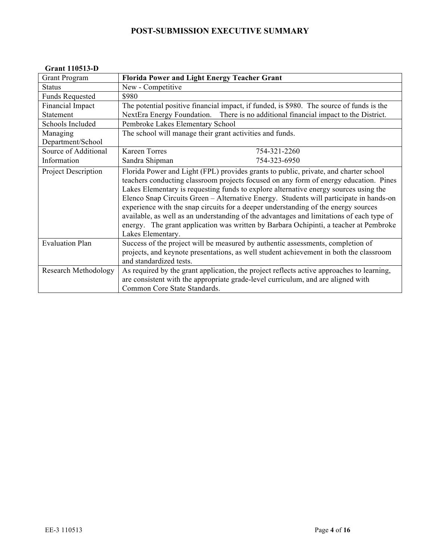#### **Grant 110513-D**

| <b>Grant Program</b>        | <b>Florida Power and Light Energy Teacher Grant</b>                                                                                                                                                                                                                                                                                                                                                                                                                                                                                                                                                                                                             |
|-----------------------------|-----------------------------------------------------------------------------------------------------------------------------------------------------------------------------------------------------------------------------------------------------------------------------------------------------------------------------------------------------------------------------------------------------------------------------------------------------------------------------------------------------------------------------------------------------------------------------------------------------------------------------------------------------------------|
| <b>Status</b>               | New - Competitive                                                                                                                                                                                                                                                                                                                                                                                                                                                                                                                                                                                                                                               |
| <b>Funds Requested</b>      | \$980                                                                                                                                                                                                                                                                                                                                                                                                                                                                                                                                                                                                                                                           |
| <b>Financial Impact</b>     | The potential positive financial impact, if funded, is \$980. The source of funds is the                                                                                                                                                                                                                                                                                                                                                                                                                                                                                                                                                                        |
| Statement                   | NextEra Energy Foundation. There is no additional financial impact to the District.                                                                                                                                                                                                                                                                                                                                                                                                                                                                                                                                                                             |
| Schools Included            | Pembroke Lakes Elementary School                                                                                                                                                                                                                                                                                                                                                                                                                                                                                                                                                                                                                                |
| Managing                    | The school will manage their grant activities and funds.                                                                                                                                                                                                                                                                                                                                                                                                                                                                                                                                                                                                        |
| Department/School           |                                                                                                                                                                                                                                                                                                                                                                                                                                                                                                                                                                                                                                                                 |
| Source of Additional        | <b>Kareen Torres</b><br>754-321-2260                                                                                                                                                                                                                                                                                                                                                                                                                                                                                                                                                                                                                            |
| Information                 | Sandra Shipman<br>754-323-6950                                                                                                                                                                                                                                                                                                                                                                                                                                                                                                                                                                                                                                  |
| Project Description         | Florida Power and Light (FPL) provides grants to public, private, and charter school<br>teachers conducting classroom projects focused on any form of energy education. Pines<br>Lakes Elementary is requesting funds to explore alternative energy sources using the<br>Elenco Snap Circuits Green – Alternative Energy. Students will participate in hands-on<br>experience with the snap circuits for a deeper understanding of the energy sources<br>available, as well as an understanding of the advantages and limitations of each type of<br>energy. The grant application was written by Barbara Ochipinti, a teacher at Pembroke<br>Lakes Elementary. |
| <b>Evaluation Plan</b>      | Success of the project will be measured by authentic assessments, completion of<br>projects, and keynote presentations, as well student achievement in both the classroom<br>and standardized tests.                                                                                                                                                                                                                                                                                                                                                                                                                                                            |
| <b>Research Methodology</b> | As required by the grant application, the project reflects active approaches to learning,<br>are consistent with the appropriate grade-level curriculum, and are aligned with<br>Common Core State Standards.                                                                                                                                                                                                                                                                                                                                                                                                                                                   |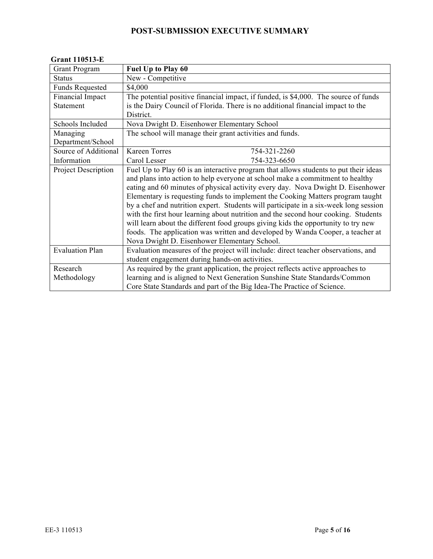#### **Grant 110513-E**

| <b>Grant Program</b>       | Fuel Up to Play 60                                                                   |
|----------------------------|--------------------------------------------------------------------------------------|
| <b>Status</b>              | New - Competitive                                                                    |
| <b>Funds Requested</b>     | \$4,000                                                                              |
| Financial Impact           | The potential positive financial impact, if funded, is \$4,000. The source of funds  |
| Statement                  | is the Dairy Council of Florida. There is no additional financial impact to the      |
|                            | District.                                                                            |
| Schools Included           | Nova Dwight D. Eisenhower Elementary School                                          |
| Managing                   | The school will manage their grant activities and funds.                             |
| Department/School          |                                                                                      |
| Source of Additional       | <b>Kareen Torres</b><br>754-321-2260                                                 |
| Information                | Carol Lesser<br>754-323-6650                                                         |
| <b>Project Description</b> | Fuel Up to Play 60 is an interactive program that allows students to put their ideas |
|                            | and plans into action to help everyone at school make a commitment to healthy        |
|                            | eating and 60 minutes of physical activity every day. Nova Dwight D. Eisenhower      |
|                            | Elementary is requesting funds to implement the Cooking Matters program taught       |
|                            | by a chef and nutrition expert. Students will participate in a six-week long session |
|                            | with the first hour learning about nutrition and the second hour cooking. Students   |
|                            | will learn about the different food groups giving kids the opportunity to try new    |
|                            | foods. The application was written and developed by Wanda Cooper, a teacher at       |
|                            | Nova Dwight D. Eisenhower Elementary School.                                         |
| <b>Evaluation Plan</b>     | Evaluation measures of the project will include: direct teacher observations, and    |
|                            | student engagement during hands-on activities.                                       |
| Research                   | As required by the grant application, the project reflects active approaches to      |
| Methodology                | learning and is aligned to Next Generation Sunshine State Standards/Common           |
|                            | Core State Standards and part of the Big Idea-The Practice of Science.               |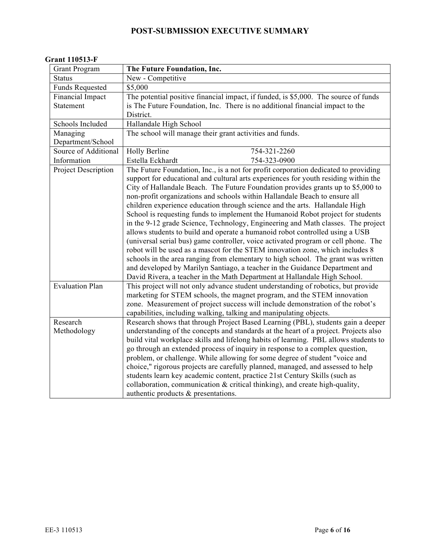|  | <b>Grant 110513-F</b> |
|--|-----------------------|
|--|-----------------------|

| <b>Grant Program</b>       | The Future Foundation, Inc.                                                          |
|----------------------------|--------------------------------------------------------------------------------------|
| <b>Status</b>              | New - Competitive                                                                    |
| <b>Funds Requested</b>     | \$5,000                                                                              |
| Financial Impact           | The potential positive financial impact, if funded, is \$5,000. The source of funds  |
| <b>Statement</b>           | is The Future Foundation, Inc. There is no additional financial impact to the        |
|                            | District.                                                                            |
| Schools Included           | Hallandale High School                                                               |
| Managing                   | The school will manage their grant activities and funds.                             |
| Department/School          |                                                                                      |
| Source of Additional       | Holly Berline<br>754-321-2260                                                        |
| Information                | Estella Eckhardt<br>754-323-0900                                                     |
| <b>Project Description</b> | The Future Foundation, Inc., is a not for profit corporation dedicated to providing  |
|                            | support for educational and cultural arts experiences for youth residing within the  |
|                            | City of Hallandale Beach. The Future Foundation provides grants up to \$5,000 to     |
|                            | non-profit organizations and schools within Hallandale Beach to ensure all           |
|                            | children experience education through science and the arts. Hallandale High          |
|                            | School is requesting funds to implement the Humanoid Robot project for students      |
|                            | in the 9-12 grade Science, Technology, Engineering and Math classes. The project     |
|                            | allows students to build and operate a humanoid robot controlled using a USB         |
|                            | (universal serial bus) game controller, voice activated program or cell phone. The   |
|                            | robot will be used as a mascot for the STEM innovation zone, which includes 8        |
|                            | schools in the area ranging from elementary to high school. The grant was written    |
|                            | and developed by Marilyn Santiago, a teacher in the Guidance Department and          |
|                            | David Rivera, a teacher in the Math Department at Hallandale High School.            |
| <b>Evaluation Plan</b>     | This project will not only advance student understanding of robotics, but provide    |
|                            | marketing for STEM schools, the magnet program, and the STEM innovation              |
|                            | zone. Measurement of project success will include demonstration of the robot's       |
|                            | capabilities, including walking, talking and manipulating objects.                   |
| Research                   | Research shows that through Project Based Learning (PBL), students gain a deeper     |
| Methodology                | understanding of the concepts and standards at the heart of a project. Projects also |
|                            | build vital workplace skills and lifelong habits of learning. PBL allows students to |
|                            | go through an extended process of inquiry in response to a complex question,         |
|                            | problem, or challenge. While allowing for some degree of student "voice and          |
|                            | choice," rigorous projects are carefully planned, managed, and assessed to help      |
|                            | students learn key academic content, practice 21st Century Skills (such as           |
|                            | collaboration, communication & critical thinking), and create high-quality,          |
|                            | authentic products & presentations.                                                  |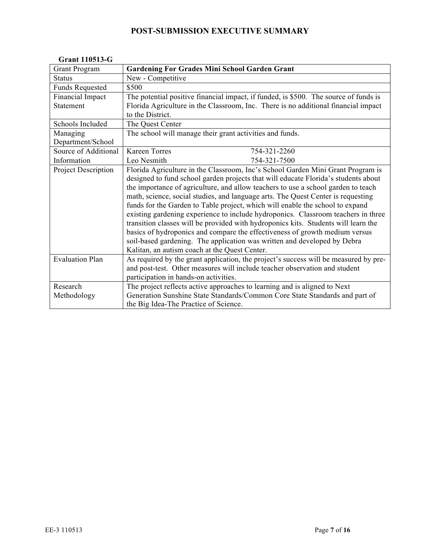#### **Grant 110513-G**

| <b>Grant Program</b>   | <b>Gardening For Grades Mini School Garden Grant</b>                                 |
|------------------------|--------------------------------------------------------------------------------------|
| <b>Status</b>          | New - Competitive                                                                    |
| <b>Funds Requested</b> | \$500                                                                                |
| Financial Impact       | The potential positive financial impact, if funded, is \$500. The source of funds is |
| Statement              | Florida Agriculture in the Classroom, Inc. There is no additional financial impact   |
|                        | to the District.                                                                     |
| Schools Included       | The Quest Center                                                                     |
| Managing               | The school will manage their grant activities and funds.                             |
| Department/School      |                                                                                      |
| Source of Additional   | <b>Kareen Torres</b><br>754-321-2260                                                 |
| Information            | Leo Nesmith<br>754-321-7500                                                          |
| Project Description    | Florida Agriculture in the Classroom, Inc's School Garden Mini Grant Program is      |
|                        | designed to fund school garden projects that will educate Florida's students about   |
|                        | the importance of agriculture, and allow teachers to use a school garden to teach    |
|                        | math, science, social studies, and language arts. The Quest Center is requesting     |
|                        | funds for the Garden to Table project, which will enable the school to expand        |
|                        | existing gardening experience to include hydroponics. Classroom teachers in three    |
|                        | transition classes will be provided with hydroponics kits. Students will learn the   |
|                        | basics of hydroponics and compare the effectiveness of growth medium versus          |
|                        | soil-based gardening. The application was written and developed by Debra             |
|                        | Kalitan, an autism coach at the Quest Center.                                        |
| <b>Evaluation Plan</b> | As required by the grant application, the project's success will be measured by pre- |
|                        | and post-test. Other measures will include teacher observation and student           |
|                        | participation in hands-on activities.                                                |
| Research               | The project reflects active approaches to learning and is aligned to Next            |
| Methodology            | Generation Sunshine State Standards/Common Core State Standards and part of          |
|                        | the Big Idea-The Practice of Science.                                                |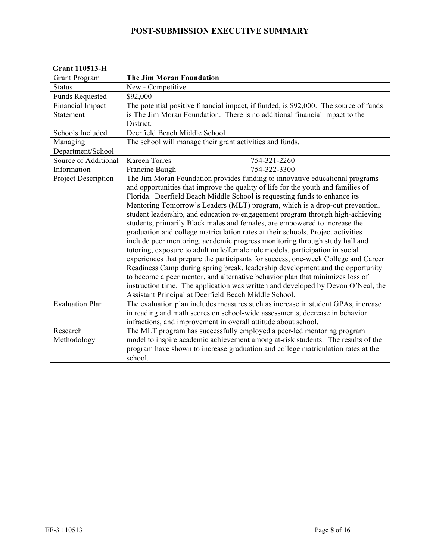|  |  | <b>Grant 110513-H</b> |
|--|--|-----------------------|
|--|--|-----------------------|

| <b>Grant Program</b>   | <b>The Jim Moran Foundation</b>                                                      |
|------------------------|--------------------------------------------------------------------------------------|
| <b>Status</b>          | New - Competitive                                                                    |
| <b>Funds Requested</b> | \$92,000                                                                             |
| Financial Impact       | The potential positive financial impact, if funded, is \$92,000. The source of funds |
| <b>Statement</b>       | is The Jim Moran Foundation. There is no additional financial impact to the          |
|                        | District.                                                                            |
| Schools Included       | Deerfield Beach Middle School                                                        |
| Managing               | The school will manage their grant activities and funds.                             |
| Department/School      |                                                                                      |
| Source of Additional   | <b>Kareen Torres</b><br>754-321-2260                                                 |
| Information            | 754-322-3300<br>Francine Baugh                                                       |
| Project Description    | The Jim Moran Foundation provides funding to innovative educational programs         |
|                        | and opportunities that improve the quality of life for the youth and families of     |
|                        | Florida. Deerfield Beach Middle School is requesting funds to enhance its            |
|                        | Mentoring Tomorrow's Leaders (MLT) program, which is a drop-out prevention,          |
|                        | student leadership, and education re-engagement program through high-achieving       |
|                        | students, primarily Black males and females, are empowered to increase the           |
|                        | graduation and college matriculation rates at their schools. Project activities      |
|                        | include peer mentoring, academic progress monitoring through study hall and          |
|                        | tutoring, exposure to adult male/female role models, participation in social         |
|                        | experiences that prepare the participants for success, one-week College and Career   |
|                        | Readiness Camp during spring break, leadership development and the opportunity       |
|                        | to become a peer mentor, and alternative behavior plan that minimizes loss of        |
|                        | instruction time. The application was written and developed by Devon O'Neal, the     |
|                        | Assistant Principal at Deerfield Beach Middle School.                                |
| <b>Evaluation Plan</b> | The evaluation plan includes measures such as increase in student GPAs, increase     |
|                        | in reading and math scores on school-wide assessments, decrease in behavior          |
|                        | infractions, and improvement in overall attitude about school.                       |
| Research               | The MLT program has successfully employed a peer-led mentoring program               |
| Methodology            | model to inspire academic achievement among at-risk students. The results of the     |
|                        | program have shown to increase graduation and college matriculation rates at the     |
|                        | school.                                                                              |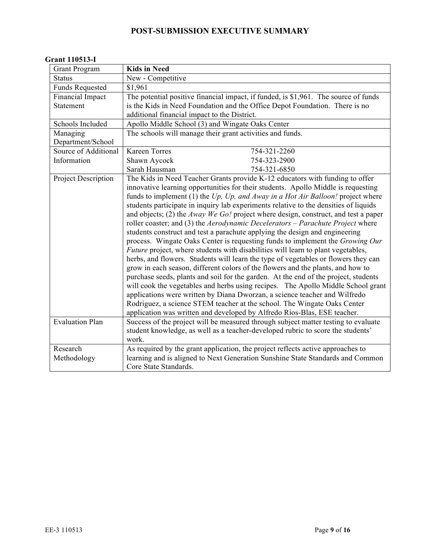#### **Grant 110513-I**

| <b>Grant Program</b>   | <b>Kids in Need</b>                                                                       |
|------------------------|-------------------------------------------------------------------------------------------|
| <b>Status</b>          | New - Competitive                                                                         |
| <b>Funds Requested</b> | \$1,961                                                                                   |
| Financial Impact       | The potential positive financial impact, if funded, is \$1,961. The source of funds       |
| <b>Statement</b>       | is the Kids in Need Foundation and the Office Depot Foundation. There is no               |
|                        | additional financial impact to the District.                                              |
| Schools Included       | Apollo Middle School (3) and Wingate Oaks Center                                          |
| Managing               | The schools will manage their grant activities and funds.                                 |
| Department/School      |                                                                                           |
| Source of Additional   | <b>Kareen Torres</b><br>754-321-2260                                                      |
| Information            | 754-323-2900<br>Shawn Aycock                                                              |
|                        | Sarah Hausman<br>754-321-6850                                                             |
| Project Description    | The Kids in Need Teacher Grants provide K-12 educators with funding to offer              |
|                        | innovative learning opportunities for their students. Apollo Middle is requesting         |
|                        | funds to implement (1) the $Up$ , $Up$ , and Away in a Hot Air Balloon! project where     |
|                        | students participate in inquiry lab experiments relative to the densities of liquids      |
|                        | and objects; (2) the <i>Away We Go!</i> project where design, construct, and test a paper |
|                        | roller coaster; and (3) the Aerodynamic Decelerators - Parachute Project where            |
|                        | students construct and test a parachute applying the design and engineering               |
|                        | process. Wingate Oaks Center is requesting funds to implement the Growing Our             |
|                        | <i>Future</i> project, where students with disabilities will learn to plant vegetables,   |
|                        | herbs, and flowers. Students will learn the type of vegetables or flowers they can        |
|                        | grow in each season, different colors of the flowers and the plants, and how to           |
|                        | purchase seeds, plants and soil for the garden. At the end of the project, students       |
|                        | will cook the vegetables and herbs using recipes. The Apollo Middle School grant          |
|                        | applications were written by Diana Dworzan, a science teacher and Wilfredo                |
|                        | Rodriguez, a science STEM teacher at the school. The Wingate Oaks Center                  |
|                        | application was written and developed by Alfredo Rios-Blas, ESE teacher.                  |
| <b>Evaluation Plan</b> | Success of the project will be measured through subject matter testing to evaluate        |
|                        | student knowledge, as well as a teacher-developed rubric to score the students'           |
|                        | work.                                                                                     |
| Research               | As required by the grant application, the project reflects active approaches to           |
| Methodology            | learning and is aligned to Next Generation Sunshine State Standards and Common            |
|                        | Core State Standards.                                                                     |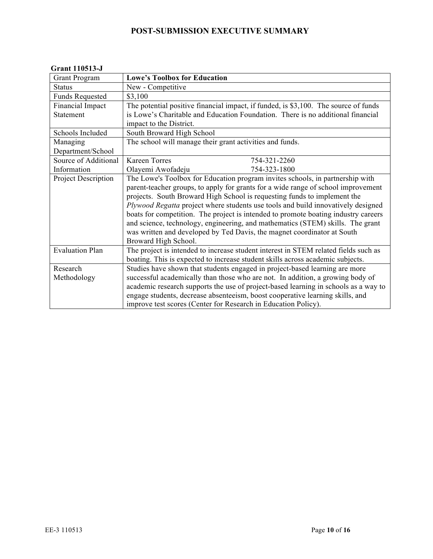#### **Grant 110513-J**

| <b>Grant Program</b>   | <b>Lowe's Toolbox for Education</b>                                                 |
|------------------------|-------------------------------------------------------------------------------------|
| <b>Status</b>          | New - Competitive                                                                   |
| <b>Funds Requested</b> | \$3,100                                                                             |
| Financial Impact       | The potential positive financial impact, if funded, is \$3,100. The source of funds |
| Statement              | is Lowe's Charitable and Education Foundation. There is no additional financial     |
|                        | impact to the District.                                                             |
| Schools Included       | South Broward High School                                                           |
| Managing               | The school will manage their grant activities and funds.                            |
| Department/School      |                                                                                     |
| Source of Additional   | <b>Kareen Torres</b><br>754-321-2260                                                |
| Information            | Olayemi Awofadeju<br>754-323-1800                                                   |
| Project Description    | The Lowe's Toolbox for Education program invites schools, in partnership with       |
|                        | parent-teacher groups, to apply for grants for a wide range of school improvement   |
|                        | projects. South Broward High School is requesting funds to implement the            |
|                        | Plywood Regatta project where students use tools and build innovatively designed    |
|                        | boats for competition. The project is intended to promote boating industry careers  |
|                        | and science, technology, engineering, and mathematics (STEM) skills. The grant      |
|                        | was written and developed by Ted Davis, the magnet coordinator at South             |
|                        | Broward High School.                                                                |
| <b>Evaluation Plan</b> | The project is intended to increase student interest in STEM related fields such as |
|                        | boating. This is expected to increase student skills across academic subjects.      |
| Research               | Studies have shown that students engaged in project-based learning are more         |
| Methodology            | successful academically than those who are not. In addition, a growing body of      |
|                        | academic research supports the use of project-based learning in schools as a way to |
|                        | engage students, decrease absenteeism, boost cooperative learning skills, and       |
|                        | improve test scores (Center for Research in Education Policy).                      |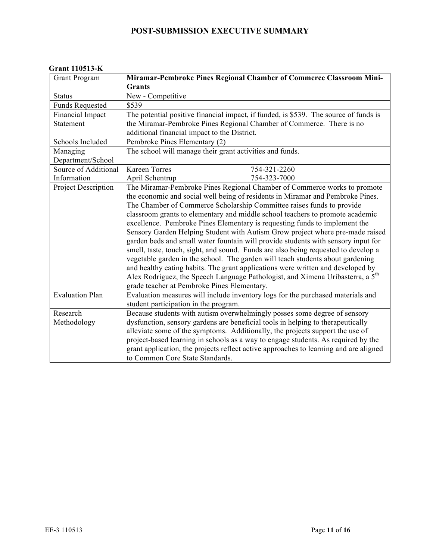|  | <b>Grant 110513-K</b> |
|--|-----------------------|
|--|-----------------------|

| <b>Grant Program</b>                 | Miramar-Pembroke Pines Regional Chamber of Commerce Classroom Mini-<br><b>Grants</b>                                                                                                                                                                                                                                                                                                                                                                                                                                                                                                                                                                                                                                                                                                                                                                                                                                                                                             |
|--------------------------------------|----------------------------------------------------------------------------------------------------------------------------------------------------------------------------------------------------------------------------------------------------------------------------------------------------------------------------------------------------------------------------------------------------------------------------------------------------------------------------------------------------------------------------------------------------------------------------------------------------------------------------------------------------------------------------------------------------------------------------------------------------------------------------------------------------------------------------------------------------------------------------------------------------------------------------------------------------------------------------------|
| <b>Status</b>                        | New - Competitive                                                                                                                                                                                                                                                                                                                                                                                                                                                                                                                                                                                                                                                                                                                                                                                                                                                                                                                                                                |
| <b>Funds Requested</b>               | \$539                                                                                                                                                                                                                                                                                                                                                                                                                                                                                                                                                                                                                                                                                                                                                                                                                                                                                                                                                                            |
| Financial Impact<br><b>Statement</b> | The potential positive financial impact, if funded, is \$539. The source of funds is<br>the Miramar-Pembroke Pines Regional Chamber of Commerce. There is no<br>additional financial impact to the District.                                                                                                                                                                                                                                                                                                                                                                                                                                                                                                                                                                                                                                                                                                                                                                     |
| Schools Included                     | Pembroke Pines Elementary (2)                                                                                                                                                                                                                                                                                                                                                                                                                                                                                                                                                                                                                                                                                                                                                                                                                                                                                                                                                    |
| Managing<br>Department/School        | The school will manage their grant activities and funds.                                                                                                                                                                                                                                                                                                                                                                                                                                                                                                                                                                                                                                                                                                                                                                                                                                                                                                                         |
| Source of Additional                 | <b>Kareen Torres</b><br>754-321-2260                                                                                                                                                                                                                                                                                                                                                                                                                                                                                                                                                                                                                                                                                                                                                                                                                                                                                                                                             |
| Information                          | April Schentrup<br>754-323-7000                                                                                                                                                                                                                                                                                                                                                                                                                                                                                                                                                                                                                                                                                                                                                                                                                                                                                                                                                  |
| Project Description                  | The Miramar-Pembroke Pines Regional Chamber of Commerce works to promote<br>the economic and social well being of residents in Miramar and Pembroke Pines.<br>The Chamber of Commerce Scholarship Committee raises funds to provide<br>classroom grants to elementary and middle school teachers to promote academic<br>excellence. Pembroke Pines Elementary is requesting funds to implement the<br>Sensory Garden Helping Student with Autism Grow project where pre-made raised<br>garden beds and small water fountain will provide students with sensory input for<br>smell, taste, touch, sight, and sound. Funds are also being requested to develop a<br>vegetable garden in the school. The garden will teach students about gardening<br>and healthy eating habits. The grant applications were written and developed by<br>Alex Rodriguez, the Speech Language Pathologist, and Ximena Uribasterra, a 5 <sup>th</sup><br>grade teacher at Pembroke Pines Elementary. |
| <b>Evaluation Plan</b>               | Evaluation measures will include inventory logs for the purchased materials and<br>student participation in the program.                                                                                                                                                                                                                                                                                                                                                                                                                                                                                                                                                                                                                                                                                                                                                                                                                                                         |
| Research                             | Because students with autism overwhelmingly posses some degree of sensory                                                                                                                                                                                                                                                                                                                                                                                                                                                                                                                                                                                                                                                                                                                                                                                                                                                                                                        |
| Methodology                          | dysfunction, sensory gardens are beneficial tools in helping to therapeutically<br>alleviate some of the symptoms. Additionally, the projects support the use of<br>project-based learning in schools as a way to engage students. As required by the<br>grant application, the projects reflect active approaches to learning and are aligned<br>to Common Core State Standards.                                                                                                                                                                                                                                                                                                                                                                                                                                                                                                                                                                                                |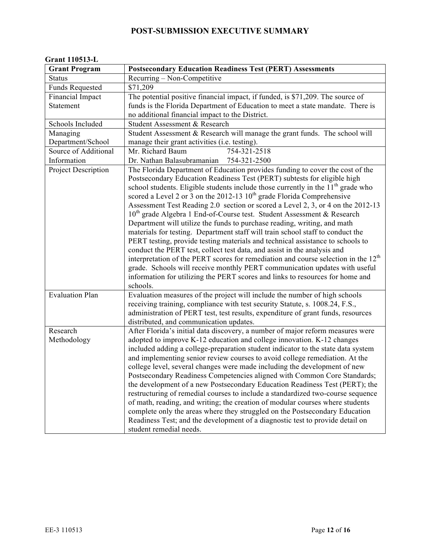| <b>Grant Program</b>       | <b>Postsecondary Education Readiness Test (PERT) Assessments</b>                                                                                                                                                                                                                                                                                                                                                                                                                                                                                                                                                                                                                                                                                                                                                                                                                                                                                                                                                                                                                                     |
|----------------------------|------------------------------------------------------------------------------------------------------------------------------------------------------------------------------------------------------------------------------------------------------------------------------------------------------------------------------------------------------------------------------------------------------------------------------------------------------------------------------------------------------------------------------------------------------------------------------------------------------------------------------------------------------------------------------------------------------------------------------------------------------------------------------------------------------------------------------------------------------------------------------------------------------------------------------------------------------------------------------------------------------------------------------------------------------------------------------------------------------|
| <b>Status</b>              | Recurring – Non-Competitive                                                                                                                                                                                                                                                                                                                                                                                                                                                                                                                                                                                                                                                                                                                                                                                                                                                                                                                                                                                                                                                                          |
| <b>Funds Requested</b>     | \$71,209                                                                                                                                                                                                                                                                                                                                                                                                                                                                                                                                                                                                                                                                                                                                                                                                                                                                                                                                                                                                                                                                                             |
| Financial Impact           | The potential positive financial impact, if funded, is \$71,209. The source of                                                                                                                                                                                                                                                                                                                                                                                                                                                                                                                                                                                                                                                                                                                                                                                                                                                                                                                                                                                                                       |
| Statement                  | funds is the Florida Department of Education to meet a state mandate. There is                                                                                                                                                                                                                                                                                                                                                                                                                                                                                                                                                                                                                                                                                                                                                                                                                                                                                                                                                                                                                       |
|                            | no additional financial impact to the District.                                                                                                                                                                                                                                                                                                                                                                                                                                                                                                                                                                                                                                                                                                                                                                                                                                                                                                                                                                                                                                                      |
| Schools Included           | Student Assessment & Research                                                                                                                                                                                                                                                                                                                                                                                                                                                                                                                                                                                                                                                                                                                                                                                                                                                                                                                                                                                                                                                                        |
| Managing                   | Student Assessment & Research will manage the grant funds. The school will                                                                                                                                                                                                                                                                                                                                                                                                                                                                                                                                                                                                                                                                                                                                                                                                                                                                                                                                                                                                                           |
| Department/School          | manage their grant activities (i.e. testing).                                                                                                                                                                                                                                                                                                                                                                                                                                                                                                                                                                                                                                                                                                                                                                                                                                                                                                                                                                                                                                                        |
| Source of Additional       | Mr. Richard Baum<br>754-321-2518                                                                                                                                                                                                                                                                                                                                                                                                                                                                                                                                                                                                                                                                                                                                                                                                                                                                                                                                                                                                                                                                     |
| Information                | Dr. Nathan Balasubramanian<br>754-321-2500                                                                                                                                                                                                                                                                                                                                                                                                                                                                                                                                                                                                                                                                                                                                                                                                                                                                                                                                                                                                                                                           |
| <b>Project Description</b> | The Florida Department of Education provides funding to cover the cost of the<br>Postsecondary Education Readiness Test (PERT) subtests for eligible high<br>school students. Eligible students include those currently in the $11th$ grade who<br>scored a Level 2 or 3 on the $2012-13$ $10th$ grade Florida Comprehensive<br>Assessment Test Reading 2.0 section or scored a Level 2, 3, or 4 on the 2012-13<br>10 <sup>th</sup> grade Algebra 1 End-of-Course test. Student Assessment & Research<br>Department will utilize the funds to purchase reading, writing, and math<br>materials for testing. Department staff will train school staff to conduct the<br>PERT testing, provide testing materials and technical assistance to schools to<br>conduct the PERT test, collect test data, and assist in the analysis and<br>interpretation of the PERT scores for remediation and course selection in the $12th$<br>grade. Schools will receive monthly PERT communication updates with useful<br>information for utilizing the PERT scores and links to resources for home and<br>schools. |
| <b>Evaluation Plan</b>     | Evaluation measures of the project will include the number of high schools<br>receiving training, compliance with test security Statute, s. 1008.24, F.S.,<br>administration of PERT test, test results, expenditure of grant funds, resources<br>distributed, and communication updates.                                                                                                                                                                                                                                                                                                                                                                                                                                                                                                                                                                                                                                                                                                                                                                                                            |
| Research                   | After Florida's initial data discovery, a number of major reform measures were                                                                                                                                                                                                                                                                                                                                                                                                                                                                                                                                                                                                                                                                                                                                                                                                                                                                                                                                                                                                                       |
| Methodology                | adopted to improve K-12 education and college innovation. K-12 changes                                                                                                                                                                                                                                                                                                                                                                                                                                                                                                                                                                                                                                                                                                                                                                                                                                                                                                                                                                                                                               |
|                            | included adding a college-preparation student indicator to the state data system<br>and implementing senior review courses to avoid college remediation. At the<br>college level, several changes were made including the development of new<br>Postsecondary Readiness Competencies aligned with Common Core Standards;<br>the development of a new Postsecondary Education Readiness Test (PERT); the<br>restructuring of remedial courses to include a standardized two-course sequence<br>of math, reading, and writing; the creation of modular courses where students<br>complete only the areas where they struggled on the Postsecondary Education<br>Readiness Test; and the development of a diagnostic test to provide detail on<br>student remedial needs.                                                                                                                                                                                                                                                                                                                               |

#### **Grant 110513-L**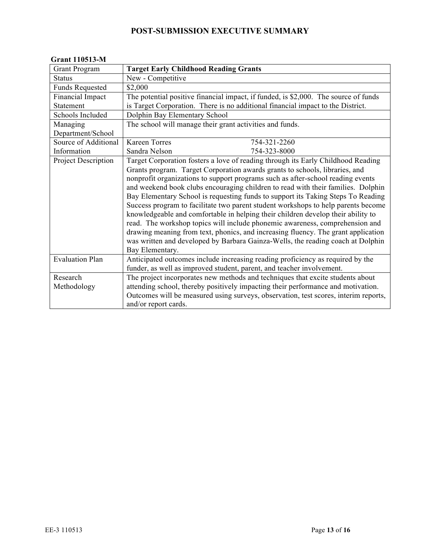| <b>Grant Program</b>   | <b>Target Early Childhood Reading Grants</b>                                        |
|------------------------|-------------------------------------------------------------------------------------|
| <b>Status</b>          | New - Competitive                                                                   |
| <b>Funds Requested</b> | \$2,000                                                                             |
| Financial Impact       | The potential positive financial impact, if funded, is \$2,000. The source of funds |
| Statement              | is Target Corporation. There is no additional financial impact to the District.     |
| Schools Included       | Dolphin Bay Elementary School                                                       |
| Managing               | The school will manage their grant activities and funds.                            |
| Department/School      |                                                                                     |
| Source of Additional   | <b>Kareen Torres</b><br>754-321-2260                                                |
| Information            | Sandra Nelson<br>754-323-8000                                                       |
| Project Description    | Target Corporation fosters a love of reading through its Early Childhood Reading    |
|                        | Grants program. Target Corporation awards grants to schools, libraries, and         |
|                        | nonprofit organizations to support programs such as after-school reading events     |
|                        | and weekend book clubs encouraging children to read with their families. Dolphin    |
|                        | Bay Elementary School is requesting funds to support its Taking Steps To Reading    |
|                        | Success program to facilitate two parent student workshops to help parents become   |
|                        | knowledgeable and comfortable in helping their children develop their ability to    |
|                        | read. The workshop topics will include phonemic awareness, comprehension and        |
|                        | drawing meaning from text, phonics, and increasing fluency. The grant application   |
|                        | was written and developed by Barbara Gainza-Wells, the reading coach at Dolphin     |
|                        | Bay Elementary.                                                                     |
| <b>Evaluation Plan</b> | Anticipated outcomes include increasing reading proficiency as required by the      |
|                        | funder, as well as improved student, parent, and teacher involvement.               |
| Research               | The project incorporates new methods and techniques that excite students about      |
| Methodology            | attending school, thereby positively impacting their performance and motivation.    |
|                        | Outcomes will be measured using surveys, observation, test scores, interim reports, |
|                        | and/or report cards.                                                                |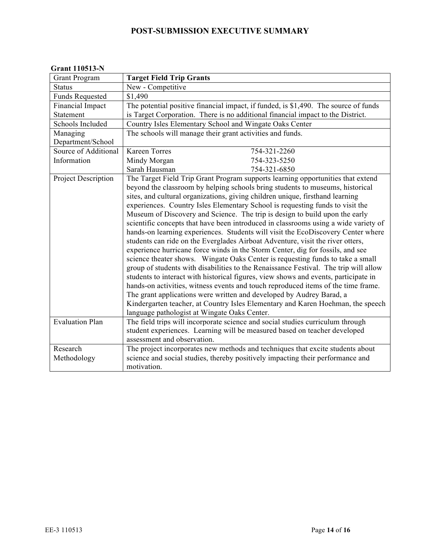| <b>Grant Program</b>   | <b>Target Field Trip Grants</b>                                                      |
|------------------------|--------------------------------------------------------------------------------------|
| <b>Status</b>          | New - Competitive                                                                    |
| <b>Funds Requested</b> | \$1,490                                                                              |
| Financial Impact       | The potential positive financial impact, if funded, is \$1,490. The source of funds  |
| <b>Statement</b>       | is Target Corporation. There is no additional financial impact to the District.      |
| Schools Included       | Country Isles Elementary School and Wingate Oaks Center                              |
| Managing               | The schools will manage their grant activities and funds.                            |
| Department/School      |                                                                                      |
| Source of Additional   | <b>Kareen Torres</b><br>754-321-2260                                                 |
| Information            | Mindy Morgan<br>754-323-5250                                                         |
|                        | Sarah Hausman<br>754-321-6850                                                        |
| Project Description    | The Target Field Trip Grant Program supports learning opportunities that extend      |
|                        | beyond the classroom by helping schools bring students to museums, historical        |
|                        | sites, and cultural organizations, giving children unique, firsthand learning        |
|                        | experiences. Country Isles Elementary School is requesting funds to visit the        |
|                        | Museum of Discovery and Science. The trip is design to build upon the early          |
|                        | scientific concepts that have been introduced in classrooms using a wide variety of  |
|                        | hands-on learning experiences. Students will visit the EcoDiscovery Center where     |
|                        | students can ride on the Everglades Airboat Adventure, visit the river otters,       |
|                        | experience hurricane force winds in the Storm Center, dig for fossils, and see       |
|                        | science theater shows. Wingate Oaks Center is requesting funds to take a small       |
|                        | group of students with disabilities to the Renaissance Festival. The trip will allow |
|                        | students to interact with historical figures, view shows and events, participate in  |
|                        | hands-on activities, witness events and touch reproduced items of the time frame.    |
|                        | The grant applications were written and developed by Audrey Barad, a                 |
|                        | Kindergarten teacher, at Country Isles Elementary and Karen Hoehman, the speech      |
|                        | language pathologist at Wingate Oaks Center.                                         |
| <b>Evaluation Plan</b> | The field trips will incorporate science and social studies curriculum through       |
|                        | student experiences. Learning will be measured based on teacher developed            |
|                        | assessment and observation.                                                          |
| Research               | The project incorporates new methods and techniques that excite students about       |
| Methodology            | science and social studies, thereby positively impacting their performance and       |
|                        | motivation.                                                                          |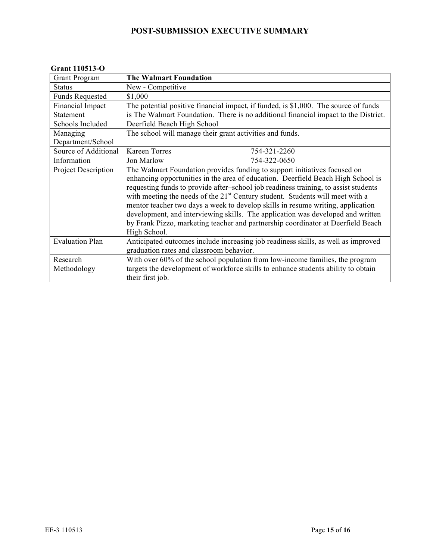#### **Grant 110513-O**

| <b>Grant Program</b>       | <b>The Walmart Foundation</b>                                                             |
|----------------------------|-------------------------------------------------------------------------------------------|
| <b>Status</b>              | New - Competitive                                                                         |
| <b>Funds Requested</b>     | \$1,000                                                                                   |
| Financial Impact           | The potential positive financial impact, if funded, is \$1,000. The source of funds       |
| Statement                  | is The Walmart Foundation. There is no additional financial impact to the District.       |
| Schools Included           | Deerfield Beach High School                                                               |
| Managing                   | The school will manage their grant activities and funds.                                  |
| Department/School          |                                                                                           |
| Source of Additional       | <b>Kareen Torres</b><br>754-321-2260                                                      |
| Information                | Jon Marlow<br>754-322-0650                                                                |
| <b>Project Description</b> | The Walmart Foundation provides funding to support initiatives focused on                 |
|                            | enhancing opportunities in the area of education. Deerfield Beach High School is          |
|                            | requesting funds to provide after-school job readiness training, to assist students       |
|                            | with meeting the needs of the 21 <sup>st</sup> Century student. Students will meet with a |
|                            | mentor teacher two days a week to develop skills in resume writing, application           |
|                            | development, and interviewing skills. The application was developed and written           |
|                            | by Frank Pizzo, marketing teacher and partnership coordinator at Deerfield Beach          |
|                            | High School.                                                                              |
| <b>Evaluation Plan</b>     | Anticipated outcomes include increasing job readiness skills, as well as improved         |
|                            | graduation rates and classroom behavior.                                                  |
| Research                   | With over 60% of the school population from low-income families, the program              |
| Methodology                | targets the development of workforce skills to enhance students ability to obtain         |
|                            | their first job.                                                                          |